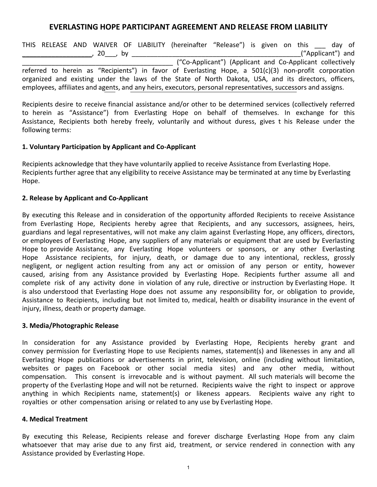# **EVERLASTING HOPE PARTICIPANT AGREEMENT AND RELEASE FROM LIABILITY**

THIS RELEASE AND WAIVER OF LIABILITY (hereinafter "Release") is given on this \_\_\_ day of \_\_\_\_\_\_\_\_\_\_\_\_\_\_\_\_\_\_\_, 20\_\_\_, by \_\_\_\_\_\_\_\_\_\_\_\_\_\_\_\_\_\_\_\_\_\_\_\_\_\_\_\_\_\_\_\_\_\_\_\_\_\_\_\_\_\_\_\_\_\_("Applicant") and \_\_\_\_\_\_\_\_\_\_\_\_\_\_\_\_\_\_\_\_\_\_\_\_\_\_\_\_\_\_\_\_\_\_\_\_\_\_\_\_\_ ("Co-Applicant") (Applicant and Co-Applicant collectively referred to herein as "Recipients") in favor of Everlasting Hope, a 501(c)(3) non-profit corporation organized and existing under the laws of the State of North Dakota, USA, and its directors, officers, employees, affiliates and agents, and any heirs, executors, personal representatives, successors and assigns.

Recipients desire to receive financial assistance and/or other to be determined services (collectively referred to herein as "Assistance") from Everlasting Hope on behalf of themselves. In exchange for this Assistance, Recipients both hereby freely, voluntarily and without duress, gives t his Release under the following terms:

#### **1. Voluntary Participation by Applicant and Co-Applicant**

Recipients acknowledge that they have voluntarily applied to receive Assistance from Everlasting Hope. Recipients further agree that any eligibility to receive Assistance may be terminated at any time by Everlasting Hope.

### **2. Release by Applicant and Co-Applicant**

By executing this Release and in consideration of the opportunity afforded Recipients to receive Assistance from Everlasting Hope, Recipients hereby agree that Recipients, and any successors, assignees, heirs, guardians and legal representatives, will not make any claim against Everlasting Hope, any officers, directors, or employees of Everlasting Hope, any suppliers of any materials or equipment that are used by Everlasting Hope to provide Assistance, any Everlasting Hope volunteers or sponsors, or any other Everlasting Hope Assistance recipients, for injury, death, or damage due to any intentional, reckless, grossly negligent, or negligent action resulting from any act or omission of any person or entity, however caused, arising from any Assistance provided by Everlasting Hope. Recipients further assume all and complete risk of any activity done in violation of any rule, directive or instruction by Everlasting Hope. It is also understood that Everlasting Hope does not assume any responsibility for, or obligation to provide, Assistance to Recipients, including but not limited to, medical, health or disability insurance in the event of injury, illness, death or property damage.

#### **3. Media/Photographic Release**

In consideration for any Assistance provided by Everlasting Hope, Recipients hereby grant and convey permission for Everlasting Hope to use Recipients names, statement(s) and likenesses in any and all Everlasting Hope publications or advertisements in print, television, online (including without limitation, websites or pages on Facebook or other social media sites) and any other media, without compensation. This consent is irrevocable and is without payment. All such materials will become the property of the Everlasting Hope and will not be returned. Recipients waive the right to inspect or approve anything in which Recipients name, statement(s) or likeness appears. Recipients waive any right to royalties or other compensation arising or related to any use by Everlasting Hope.

#### **4. Medical Treatment**

By executing this Release, Recipients release and forever discharge Everlasting Hope from any claim whatsoever that may arise due to any first aid, treatment, or service rendered in connection with any Assistance provided by Everlasting Hope.